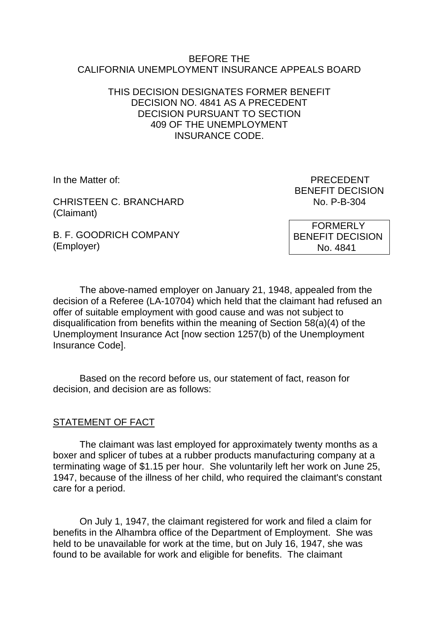#### BEFORE THE CALIFORNIA UNEMPLOYMENT INSURANCE APPEALS BOARD

### THIS DECISION DESIGNATES FORMER BENEFIT DECISION NO. 4841 AS A PRECEDENT DECISION PURSUANT TO SECTION 409 OF THE UNEMPLOYMENT INSURANCE CODE.

CHRISTEEN C. BRANCHARD No. P-B-304 (Claimant)

B. F. GOODRICH COMPANY (Employer)

In the Matter of: PRECEDENT BENEFIT DECISION

> FORMERLY BENEFIT DECISION No. 4841

The above-named employer on January 21, 1948, appealed from the decision of a Referee (LA-10704) which held that the claimant had refused an offer of suitable employment with good cause and was not subject to disqualification from benefits within the meaning of Section 58(a)(4) of the Unemployment Insurance Act [now section 1257(b) of the Unemployment Insurance Code].

Based on the record before us, our statement of fact, reason for decision, and decision are as follows:

#### STATEMENT OF FACT

The claimant was last employed for approximately twenty months as a boxer and splicer of tubes at a rubber products manufacturing company at a terminating wage of \$1.15 per hour. She voluntarily left her work on June 25, 1947, because of the illness of her child, who required the claimant's constant care for a period.

On July 1, 1947, the claimant registered for work and filed a claim for benefits in the Alhambra office of the Department of Employment. She was held to be unavailable for work at the time, but on July 16, 1947, she was found to be available for work and eligible for benefits. The claimant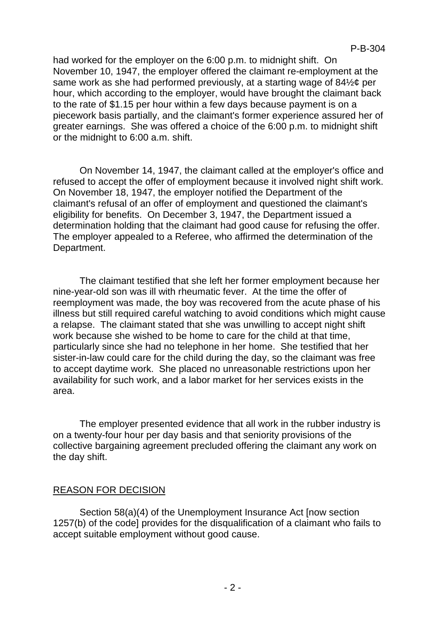P-B-304

had worked for the employer on the 6:00 p.m. to midnight shift. On November 10, 1947, the employer offered the claimant re-employment at the same work as she had performed previously, at a starting wage of 84½¢ per hour, which according to the employer, would have brought the claimant back to the rate of \$1.15 per hour within a few days because payment is on a piecework basis partially, and the claimant's former experience assured her of greater earnings. She was offered a choice of the 6:00 p.m. to midnight shift or the midnight to 6:00 a.m. shift.

On November 14, 1947, the claimant called at the employer's office and refused to accept the offer of employment because it involved night shift work. On November 18, 1947, the employer notified the Department of the claimant's refusal of an offer of employment and questioned the claimant's eligibility for benefits. On December 3, 1947, the Department issued a determination holding that the claimant had good cause for refusing the offer. The employer appealed to a Referee, who affirmed the determination of the Department.

The claimant testified that she left her former employment because her nine-year-old son was ill with rheumatic fever. At the time the offer of reemployment was made, the boy was recovered from the acute phase of his illness but still required careful watching to avoid conditions which might cause a relapse. The claimant stated that she was unwilling to accept night shift work because she wished to be home to care for the child at that time, particularly since she had no telephone in her home. She testified that her sister-in-law could care for the child during the day, so the claimant was free to accept daytime work. She placed no unreasonable restrictions upon her availability for such work, and a labor market for her services exists in the area.

The employer presented evidence that all work in the rubber industry is on a twenty-four hour per day basis and that seniority provisions of the collective bargaining agreement precluded offering the claimant any work on the day shift.

#### REASON FOR DECISION

Section 58(a)(4) of the Unemployment Insurance Act [now section 1257(b) of the code] provides for the disqualification of a claimant who fails to accept suitable employment without good cause.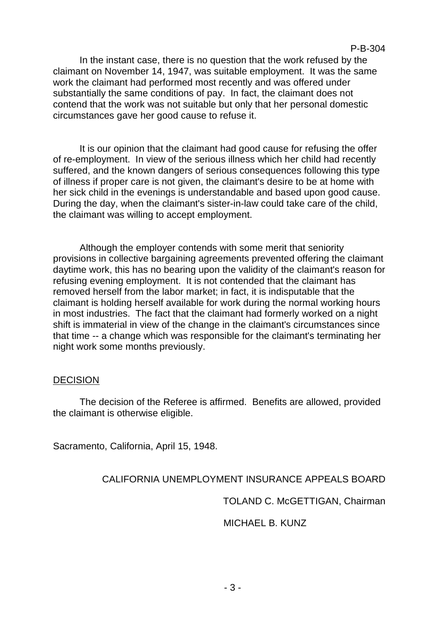In the instant case, there is no question that the work refused by the claimant on November 14, 1947, was suitable employment. It was the same work the claimant had performed most recently and was offered under substantially the same conditions of pay. In fact, the claimant does not contend that the work was not suitable but only that her personal domestic circumstances gave her good cause to refuse it.

It is our opinion that the claimant had good cause for refusing the offer of re-employment. In view of the serious illness which her child had recently suffered, and the known dangers of serious consequences following this type of illness if proper care is not given, the claimant's desire to be at home with her sick child in the evenings is understandable and based upon good cause. During the day, when the claimant's sister-in-law could take care of the child, the claimant was willing to accept employment.

Although the employer contends with some merit that seniority provisions in collective bargaining agreements prevented offering the claimant daytime work, this has no bearing upon the validity of the claimant's reason for refusing evening employment. It is not contended that the claimant has removed herself from the labor market; in fact, it is indisputable that the claimant is holding herself available for work during the normal working hours in most industries. The fact that the claimant had formerly worked on a night shift is immaterial in view of the change in the claimant's circumstances since that time -- a change which was responsible for the claimant's terminating her night work some months previously.

#### **DECISION**

The decision of the Referee is affirmed. Benefits are allowed, provided the claimant is otherwise eligible.

Sacramento, California, April 15, 1948.

## CALIFORNIA UNEMPLOYMENT INSURANCE APPEALS BOARD

TOLAND C. McGETTIGAN, Chairman

#### MICHAEL B. KUNZ